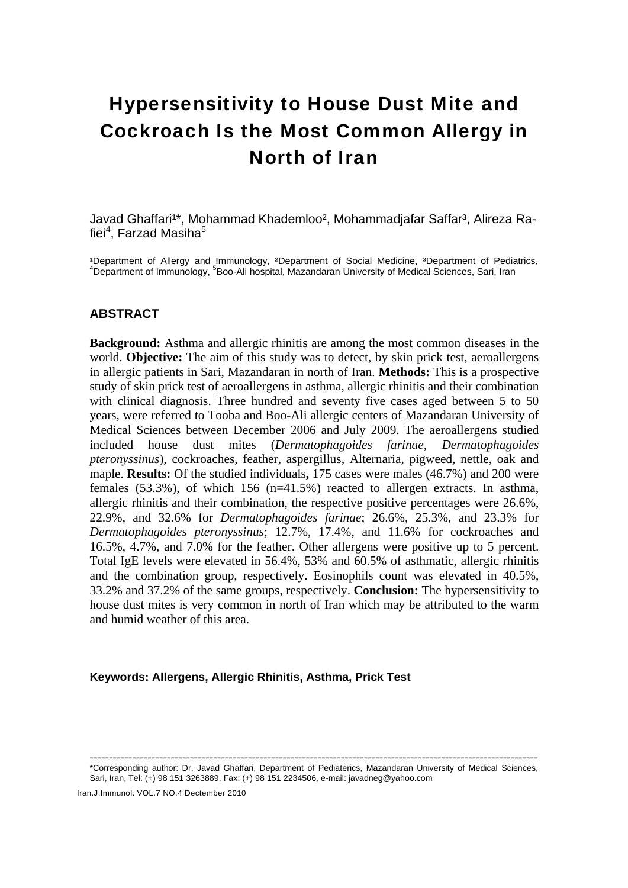# Hypersensitivity to House Dust Mite and Cockroach Is the Most Common Allergy in North of Iran

Javad Ghaffari<sup>1\*</sup>, Mohammad Khademloo<sup>2</sup>, Mohammadiafar Saffar<sup>3</sup>, Alireza Rafiei<sup>4</sup>, Farzad Masiha<sup>5</sup>

<sup>1</sup>Department of Allergy and Immunology, <sup>2</sup>Department of Social Medicine, <sup>3</sup>Department of Pediatrics, Department of Immunology, <sup>5</sup>Boo-Ali hospital, Mazandaran University of Medical Sciences, Sari, Iran

# **ABSTRACT**

**Background:** Asthma and allergic rhinitis are among the most common diseases in the world. **Objective:** The aim of this study was to detect, by skin prick test, aeroallergens in allergic patients in Sari, Mazandaran in north of Iran. **Methods:** This is a prospective study of skin prick test of aeroallergens in asthma, allergic rhinitis and their combination with clinical diagnosis. Three hundred and seventy five cases aged between 5 to 50 years, were referred to Tooba and Boo-Ali allergic centers of Mazandaran University of Medical Sciences between December 2006 and July 2009. The aeroallergens studied included house dust mites (*Dermatophagoides farinae*, *Dermatophagoides pteronyssinus*), cockroaches, feather, aspergillus, Alternaria, pigweed, nettle, oak and maple. **Results:** Of the studied individuals**,** 175 cases were males (46.7%) and 200 were females (53.3%), of which 156 (n=41.5%) reacted to allergen extracts. In asthma, allergic rhinitis and their combination, the respective positive percentages were 26.6%, 22.9%, and 32.6% for *Dermatophagoides farinae*; 26.6%, 25.3%, and 23.3% for *Dermatophagoides pteronyssinus*; 12.7%, 17.4%, and 11.6% for cockroaches and 16.5%, 4.7%, and 7.0% for the feather. Other allergens were positive up to 5 percent. Total IgE levels were elevated in 56.4%, 53% and 60.5% of asthmatic, allergic rhinitis and the combination group, respectively. Eosinophils count was elevated in 40.5%, 33.2% and 37.2% of the same groups, respectively. **Conclusion:** The hypersensitivity to house dust mites is very common in north of Iran which may be attributed to the warm and humid weather of this area.

## **Keywords: Allergens, Allergic Rhinitis, Asthma, Prick Test**

Iran.J.Immunol. VOL.7 NO.4 Dectember 2010

<sup>--------------------------------------------------------------------------------------------------------------------</sup>  \*Corresponding author: Dr. Javad Ghaffari, Department of Pediaterics, Mazandaran University of Medical Sciences, Sari, Iran, Tel: (+) 98 151 3263889, Fax: (+) 98 151 2234506, e-mail: javadneg@yahoo.com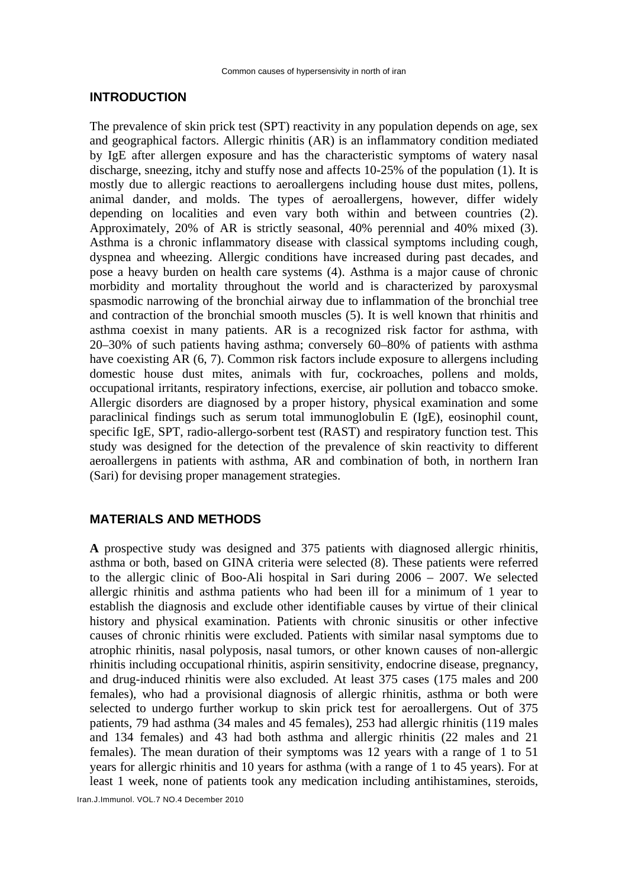# **INTRODUCTION**

The prevalence of skin prick test (SPT) reactivity in any population depends on age, sex and geographical factors. Allergic rhinitis (AR) is an inflammatory condition mediated by IgE after allergen exposure and has the characteristic symptoms of watery nasal discharge, sneezing, itchy and stuffy nose and affects 10-25% of the population (1). It is mostly due to allergic reactions to aeroallergens including house dust mites, pollens, animal dander, and molds. The types of aeroallergens, however, differ widely depending on localities and even vary both within and between countries (2). Approximately, 20% of AR is strictly seasonal, 40% perennial and 40% mixed (3). Asthma is a chronic inflammatory disease with classical symptoms including cough, dyspnea and wheezing. Allergic conditions have increased during past decades, and pose a heavy burden on health care systems (4). Asthma is a major cause of chronic morbidity and mortality throughout the world and is characterized by paroxysmal spasmodic narrowing of the bronchial airway due to inflammation of the bronchial tree and contraction of the bronchial smooth muscles (5). It is well known that rhinitis and asthma coexist in many patients. AR is a recognized risk factor for asthma, with 20–30% of such patients having asthma; conversely 60–80% of patients with asthma have coexisting AR (6, 7). Common risk factors include exposure to allergens including domestic house dust mites, animals with fur, cockroaches, pollens and molds, occupational irritants, respiratory infections, exercise, air pollution and tobacco smoke. Allergic disorders are diagnosed by a proper history, physical examination and some paraclinical findings such as serum total immunoglobulin E (IgE), eosinophil count, specific IgE, SPT, radio-allergo-sorbent test (RAST) and respiratory function test. This study was designed for the detection of the prevalence of skin reactivity to different aeroallergens in patients with asthma, AR and combination of both, in northern Iran (Sari) for devising proper management strategies.

# **MATERIALS AND METHODS**

**A** prospective study was designed and 375 patients with diagnosed allergic rhinitis, asthma or both, based on GINA criteria were selected (8). These patients were referred to the allergic clinic of Boo-Ali hospital in Sari during 2006 – 2007. We selected allergic rhinitis and asthma patients who had been ill for a minimum of 1 year to establish the diagnosis and exclude other identifiable causes by virtue of their clinical history and physical examination. Patients with chronic sinusitis or other infective causes of chronic rhinitis were excluded. Patients with similar nasal symptoms due to atrophic rhinitis, nasal polyposis, nasal tumors, or other known causes of non-allergic rhinitis including occupational rhinitis, aspirin sensitivity, endocrine disease, pregnancy, and drug-induced rhinitis were also excluded. At least 375 cases (175 males and 200 females), who had a provisional diagnosis of allergic rhinitis, asthma or both were selected to undergo further workup to skin prick test for aeroallergens. Out of 375 patients, 79 had asthma (34 males and 45 females), 253 had allergic rhinitis (119 males and 134 females) and 43 had both asthma and allergic rhinitis (22 males and 21 females). The mean duration of their symptoms was 12 years with a range of 1 to 51 years for allergic rhinitis and 10 years for asthma (with a range of 1 to 45 years). For at least 1 week, none of patients took any medication including antihistamines, steroids,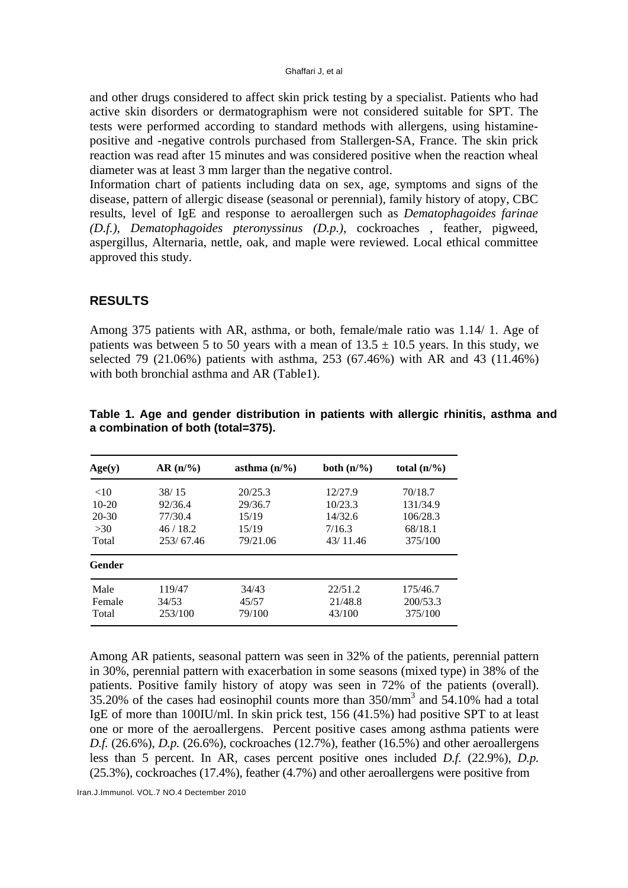and other drugs considered to affect skin prick testing by a specialist. Patients who had active skin disorders or dermatographism were not considered suitable for SPT. The tests were performed according to standard methods with allergens, using histaminepositive and -negative controls purchased from Stallergen-SA, France. The skin prick reaction was read after 15 minutes and was considered positive when the reaction wheal diameter was at least 3 mm larger than the negative control.

Information chart of patients including data on sex, age, symptoms and signs of the disease, pattern of allergic disease (seasonal or perennial), family history of atopy, CBC results, level of IgE and response to aeroallergen such as *Dematophagoides farinae (D.f.)*, *Dematophagoides pteronyssinus (D.p.)*, cockroaches , feather, pigweed, aspergillus, Alternaria, nettle, oak, and maple were reviewed. Local ethical committee approved this study.

# **RESULTS**

Among 375 patients with AR, asthma, or both, female/male ratio was 1.14/ 1. Age of patients was between 5 to 50 years with a mean of  $13.5 \pm 10.5$  years. In this study, we selected 79 (21.06%) patients with asthma, 253 (67.46%) with AR and 43 (11.46%) with both bronchial asthma and AR (Table1).

| Age(y)    | $AR(n/\%)$ | asthma $(n/\%)$ | both $(n/\%)$ | total $(n/\%)$ |
|-----------|------------|-----------------|---------------|----------------|
| <10       | 38/15      | 20/25.3         | 12/27.9       | 70/18.7        |
| $10-20$   | 92/36.4    | 29/36.7         | 10/23.3       | 131/34.9       |
| $20 - 30$ | 77/30.4    | 15/19           | 14/32.6       | 106/28.3       |
| >30       | 46/18.2    | 15/19           | 7/16.3        | 68/18.1        |
| Total     | 253/67.46  | 79/21.06        | 43/11.46      | 375/100        |
| Gender    |            |                 |               |                |
| Male      | 119/47     | 34/43           | 22/51.2       | 175/46.7       |
| Female    | 34/53      | 45/57           | 21/48.8       | 200/53.3       |
| Total     | 253/100    | 79/100          | 43/100        | 375/100        |

**Table 1. Age and gender distribution in patients with allergic rhinitis, asthma and a combination of both (total=375).** 

Among AR patients, seasonal pattern was seen in 32% of the patients, perennial pattern in 30%, perennial pattern with exacerbation in some seasons (mixed type) in 38% of the patients. Positive family history of atopy was seen in 72% of the patients (overall). 35.20% of the cases had eosinophil counts more than 350/mm<sup>3</sup> and 54.10% had a total IgE of more than 100IU/ml. In skin prick test, 156 (41.5%) had positive SPT to at least one or more of the aeroallergens. Percent positive cases among asthma patients were *D.f.* (26.6%), *D.p.* (26.6%), cockroaches (12.7%), feather (16.5%) and other aeroallergens less than 5 percent. In AR, cases percent positive ones included *D.f.* (22.9%), *D.p.* (25.3%), cockroaches (17.4%), feather (4.7%) and other aeroallergens were positive from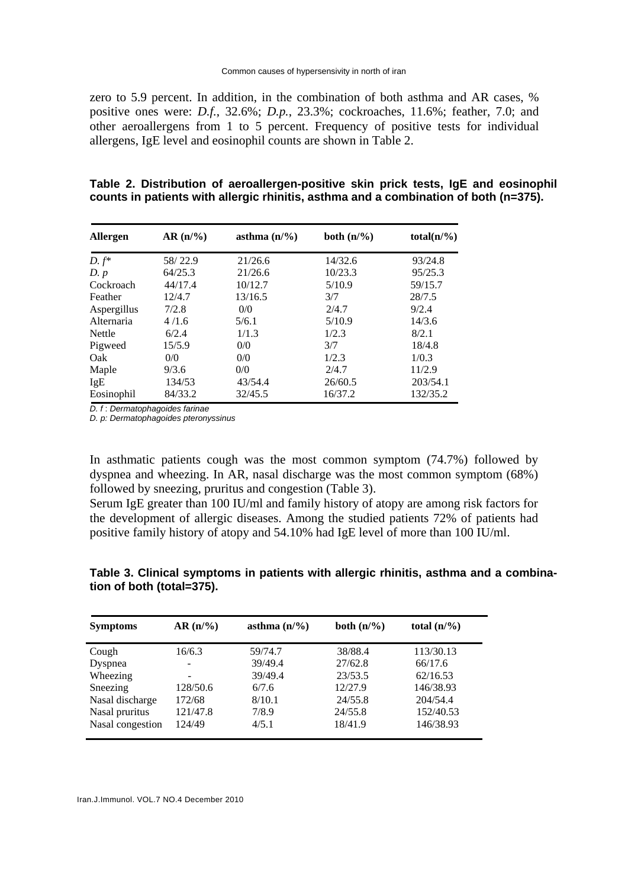zero to 5.9 percent. In addition, in the combination of both asthma and AR cases, % positive ones were: *D.f.*, 32.6%; *D.p.*, 23.3%; cockroaches, 11.6%; feather, 7.0; and other aeroallergens from 1 to 5 percent. Frequency of positive tests for individual allergens, IgE level and eosinophil counts are shown in Table 2.

|  | Table 2. Distribution of aeroallergen-positive skin prick tests, IgE and eosinophil  |  |  |
|--|--------------------------------------------------------------------------------------|--|--|
|  | counts in patients with allergic rhinitis, asthma and a combination of both (n=375). |  |  |

| Allergen    | $AR(n/\%)$ | asthma $(n/\%)$ | both $(n/\%)$ | total( $n\frac{9}{6}$ ) |
|-------------|------------|-----------------|---------------|-------------------------|
| $D. f^*$    | 58/22.9    | 21/26.6         | 14/32.6       | 93/24.8                 |
| D. p        | 64/25.3    | 21/26.6         | 10/23.3       | 95/25.3                 |
| Cockroach   | 44/17.4    | 10/12.7         | 5/10.9        | 59/15.7                 |
| Feather     | 12/4.7     | 13/16.5         | 3/7           | 28/7.5                  |
| Aspergillus | 7/2.8      | 0/0             | 2/4.7         | 9/2.4                   |
| Alternaria  | 4/1.6      | 5/6.1           | 5/10.9        | 14/3.6                  |
| Nettle      | 6/2.4      | 1/1.3           | 1/2.3         | 8/2.1                   |
| Pigweed     | 15/5.9     | 0/0             | 3/7           | 18/4.8                  |
| Oak         | 0/0        | 0/0             | 1/2.3         | 1/0.3                   |
| Maple       | 9/3.6      | 0/0             | 2/4.7         | 11/2.9                  |
| <b>IgE</b>  | 134/53     | 43/54.4         | 26/60.5       | 203/54.1                |
| Eosinophil  | 84/33.2    | 32/45.5         | 16/37.2       | 132/35.2                |

*D. f* : *Dermatophagoides farinae*

*D. p: Dermatophagoides pteronyssinus*

In asthmatic patients cough was the most common symptom (74.7%) followed by dyspnea and wheezing. In AR, nasal discharge was the most common symptom (68%) followed by sneezing, pruritus and congestion (Table 3).

Serum IgE greater than 100 IU/ml and family history of atopy are among risk factors for the development of allergic diseases. Among the studied patients 72% of patients had positive family history of atopy and 54.10% had IgE level of more than 100 IU/ml.

# **Table 3. Clinical symptoms in patients with allergic rhinitis, asthma and a combination of both (total=375).**

| <b>Symptoms</b>  | $AR(n/\%)$ | asthma $(n/\%)$ | both $(n/\%)$ | total $(n/\%)$ |
|------------------|------------|-----------------|---------------|----------------|
| Cough            | 16/6.3     | 59/74.7         | 38/88.4       | 113/30.13      |
| Dyspnea          |            | 39/49.4         | 27/62.8       | 66/17.6        |
| Wheezing         |            | 39/49.4         | 23/53.5       | 62/16.53       |
| Sneezing         | 128/50.6   | 6/7.6           | 12/27.9       | 146/38.93      |
| Nasal discharge  | 172/68     | 8/10.1          | 24/55.8       | 204/54.4       |
| Nasal pruritus   | 121/47.8   | 7/8.9           | 24/55.8       | 152/40.53      |
| Nasal congestion | 124/49     | 4/5.1           | 18/41.9       | 146/38.93      |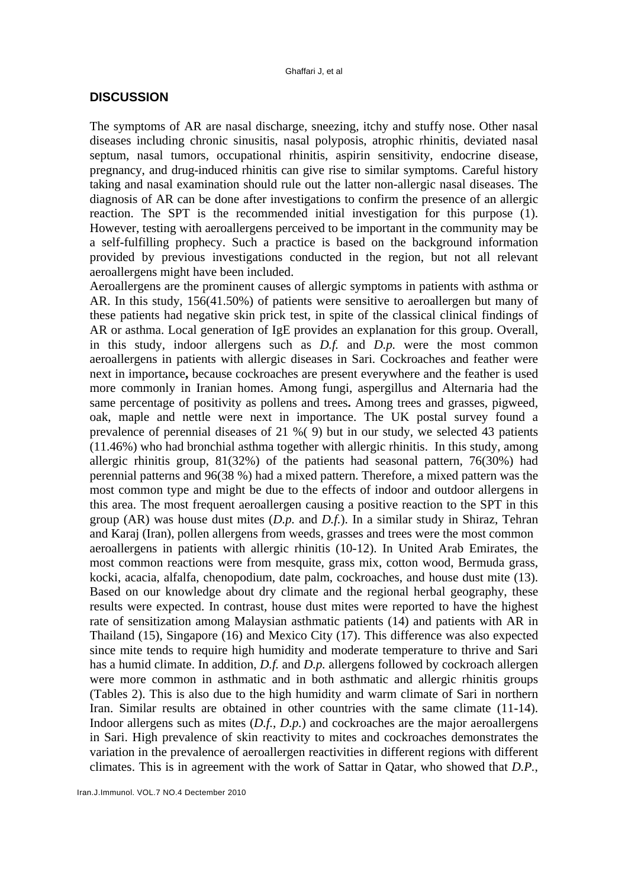## **DISCUSSION**

The symptoms of AR are nasal discharge, sneezing, itchy and stuffy nose. Other nasal diseases including chronic sinusitis, nasal polyposis, atrophic rhinitis, deviated nasal septum, nasal tumors, occupational rhinitis, aspirin sensitivity, endocrine disease, pregnancy, and drug-induced rhinitis can give rise to similar symptoms. Careful history taking and nasal examination should rule out the latter non-allergic nasal diseases. The diagnosis of AR can be done after investigations to confirm the presence of an allergic reaction. The SPT is the recommended initial investigation for this purpose (1). However, testing with aeroallergens perceived to be important in the community may be a self-fulfilling prophecy. Such a practice is based on the background information provided by previous investigations conducted in the region, but not all relevant aeroallergens might have been included.

Aeroallergens are the prominent causes of allergic symptoms in patients with asthma or AR. In this study, 156(41.50%) of patients were sensitive to aeroallergen but many of these patients had negative skin prick test, in spite of the classical clinical findings of AR or asthma. Local generation of IgE provides an explanation for this group. Overall, in this study, indoor allergens such as *D.f.* and *D.p.* were the most common aeroallergens in patients with allergic diseases in Sari. Cockroaches and feather were next in importance**,** because cockroaches are present everywhere and the feather is used more commonly in Iranian homes. Among fungi, aspergillus and Alternaria had the same percentage of positivity as pollens and trees**.** Among trees and grasses, pigweed, oak, maple and nettle were next in importance. The UK postal survey found a prevalence of perennial diseases of 21 %( 9) but in our study, we selected 43 patients (11.46%) who had bronchial asthma together with allergic rhinitis. In this study, among allergic rhinitis group, 81(32%) of the patients had seasonal pattern, 76(30%) had perennial patterns and 96(38 %) had a mixed pattern. Therefore, a mixed pattern was the most common type and might be due to the effects of indoor and outdoor allergens in this area. The most frequent aeroallergen causing a positive reaction to the SPT in this group (AR) was house dust mites (*D.p.* and *D.f.*). In a similar study in Shiraz, Tehran and Karaj (Iran), pollen allergens from weeds, grasses and trees were the most common aeroallergens in patients with allergic rhinitis (10-12). In United Arab Emirates, the most common reactions were from mesquite, grass mix, cotton wood, Bermuda grass, kocki, acacia, alfalfa, chenopodium, date palm, cockroaches, and house dust mite (13). Based on our knowledge about dry climate and the regional herbal geography, these results were expected. In contrast, house dust mites were reported to have the highest rate of sensitization among Malaysian asthmatic patients (14) and patients with AR in Thailand (15), Singapore (16) and Mexico City (17). This difference was also expected since mite tends to require high humidity and moderate temperature to thrive and Sari has a humid climate. In addition, *D.f.* and *D.p.* allergens followed by cockroach allergen were more common in asthmatic and in both asthmatic and allergic rhinitis groups (Tables 2). This is also due to the high humidity and warm climate of Sari in northern Iran. Similar results are obtained in other countries with the same climate (11-14). Indoor allergens such as mites (*D.f.*, *D.p.*) and cockroaches are the major aeroallergens in Sari. High prevalence of skin reactivity to mites and cockroaches demonstrates the variation in the prevalence of aeroallergen reactivities in different regions with different climates. This is in agreement with the work of Sattar in Qatar, who showed that *D.P.*,